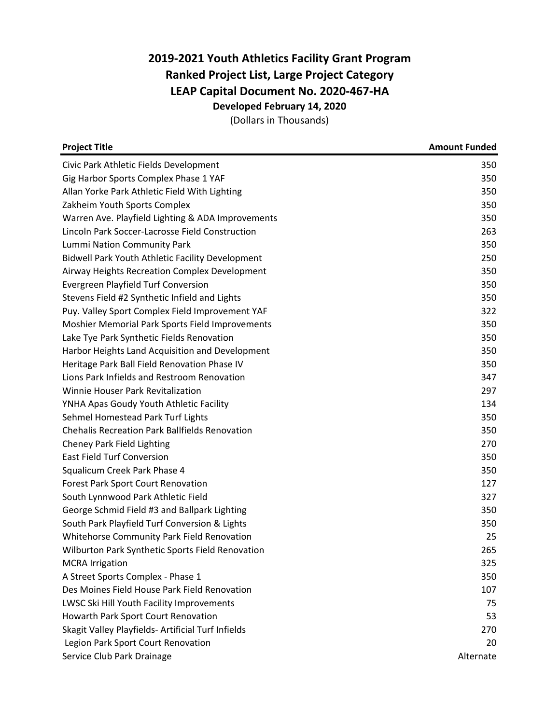## **2019‐2021 Youth Athletics Facility Grant Program Ranked Project List, Large Project Category LEAP Capital Document No. 2020‐467‐HA Developed February 14, 2020**

(Dollars in Thousands)

| <b>Project Title</b>                                    | <b>Amount Funded</b> |
|---------------------------------------------------------|----------------------|
| Civic Park Athletic Fields Development                  | 350                  |
| Gig Harbor Sports Complex Phase 1 YAF                   | 350                  |
| Allan Yorke Park Athletic Field With Lighting           | 350                  |
| Zakheim Youth Sports Complex                            | 350                  |
| Warren Ave. Playfield Lighting & ADA Improvements       | 350                  |
| Lincoln Park Soccer-Lacrosse Field Construction         | 263                  |
| Lummi Nation Community Park                             | 350                  |
| <b>Bidwell Park Youth Athletic Facility Development</b> | 250                  |
| Airway Heights Recreation Complex Development           | 350                  |
| <b>Evergreen Playfield Turf Conversion</b>              | 350                  |
| Stevens Field #2 Synthetic Infield and Lights           | 350                  |
| Puy. Valley Sport Complex Field Improvement YAF         | 322                  |
| Moshier Memorial Park Sports Field Improvements         | 350                  |
| Lake Tye Park Synthetic Fields Renovation               | 350                  |
| Harbor Heights Land Acquisition and Development         | 350                  |
| Heritage Park Ball Field Renovation Phase IV            | 350                  |
| Lions Park Infields and Restroom Renovation             | 347                  |
| Winnie Houser Park Revitalization                       | 297                  |
| YNHA Apas Goudy Youth Athletic Facility                 | 134                  |
| Sehmel Homestead Park Turf Lights                       | 350                  |
| <b>Chehalis Recreation Park Ballfields Renovation</b>   | 350                  |
| Cheney Park Field Lighting                              | 270                  |
| <b>East Field Turf Conversion</b>                       | 350                  |
| Squalicum Creek Park Phase 4                            | 350                  |
| Forest Park Sport Court Renovation                      | 127                  |
| South Lynnwood Park Athletic Field                      | 327                  |
| George Schmid Field #3 and Ballpark Lighting            | 350                  |
| South Park Playfield Turf Conversion & Lights           | 350                  |
| Whitehorse Community Park Field Renovation              | 25                   |
| Wilburton Park Synthetic Sports Field Renovation        | 265                  |
| <b>MCRA</b> Irrigation                                  | 325                  |
| A Street Sports Complex - Phase 1                       | 350                  |
| Des Moines Field House Park Field Renovation            | 107                  |
| LWSC Ski Hill Youth Facility Improvements               | 75                   |
| Howarth Park Sport Court Renovation                     | 53                   |
| Skagit Valley Playfields- Artificial Turf Infields      | 270                  |
| Legion Park Sport Court Renovation                      | 20                   |
| Service Club Park Drainage                              | Alternate            |